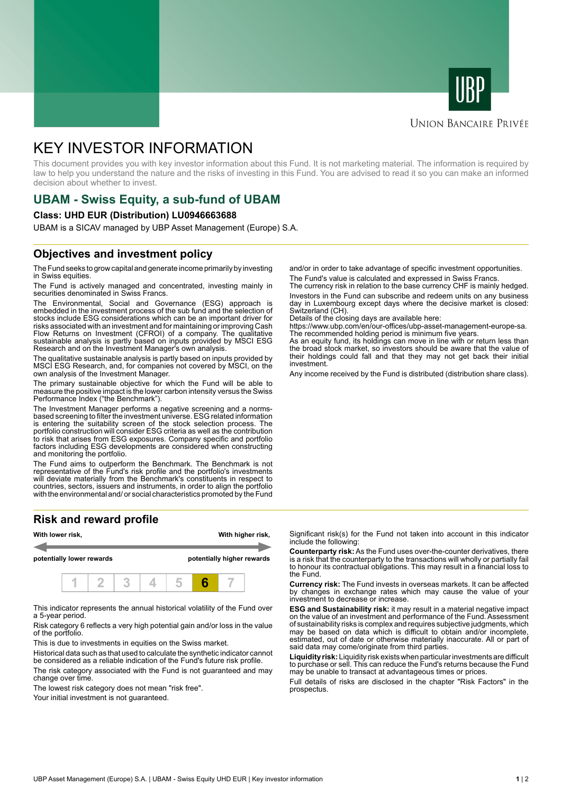



### **UNION BANCAIRE PRIVÉE**

# KEY INVESTOR INFORMATION

This document provides you with key investor information about this Fund. It is not marketing material. The information is required by law to help you understand the nature and the risks of investing in this Fund. You are advised to read it so you can make an informed decision about whether to invest.

# **UBAM - Swiss Equity, a sub-fund of UBAM**

#### **Class: UHD EUR (Distribution) LU0946663688**

UBAM is a SICAV managed by UBP Asset Management (Europe) S.A.

# **Objectives and investment policy**

The Fund seeks to grow capital and generate income primarily by investing in Swiss equities.

The Fund is actively managed and concentrated, investing mainly in securities denominated in Swiss Francs.

The Environmental, Social and Governance (ESG) approach is embedded in the investment process of the sub fund and the selection of stocks include ESG considerations which can be an important driver for risks associated with an investment and for maintaining or improving Cash Flow Returns on Investment (CFROI) of a company. The qualitative sustainable analysis is partly based on inputs provided by MSCI ESG Research and on the Investment Manager's own analysis.

The qualitative sustainable analysis is partly based on inputs provided by MSCI ESG Research, and, for companies not covered by MSCI, on the own analysis of the Investment Manager.

The primary sustainable objective for which the Fund will be able to measure the positive impact is the lower carbon intensity versus the Swiss Performance Index ("the Benchmark").

The Investment Manager performs a negative screening and a normsbased screening to filter the investment universe. ESG related information is entering the suitability screen of the stock selection process. The portfolio construction will consider ESG criteria as well as the contribution to risk that arises from ESG exposures. Company specific and portfolio factors including ESG developments are considered when constructing and monitoring the portfolio.

The Fund aims to outperform the Benchmark. The Benchmark is not representative of the Fund's risk profile and the portfolio's investments will deviate materially from the Benchmark's constituents in respect to countries, sectors, issuers and instruments, in order to align the portfolio with the environmental and/ or social characteristics promoted by the Fund

# **Risk and reward profile**



This indicator represents the annual historical volatility of the Fund over a 5-year period.

Risk category 6 reflects a very high potential gain and/or loss in the value of the portfolio.

This is due to investments in equities on the Swiss market.

Historical data such as that used to calculate the synthetic indicator cannot be considered as a reliable indication of the Fund's future risk profile. The risk category associated with the Fund is not guaranteed and may change over time.

The lowest risk category does not mean "risk free".

Your initial investment is not guaranteed.

and/or in order to take advantage of specific investment opportunities. The Fund's value is calculated and expressed in Swiss Francs.

The currency risk in relation to the base currency CHF is mainly hedged. Investors in the Fund can subscribe and redeem units on any business day in Luxembourg except days where the decisive market is closed: Switzerland (CH).

Details of the closing days are available here:

https://www.ubp.com/en/our-offices/ubp-asset-management-europe-sa. The recommended holding period is minimum five years.

As an equity fund, its holdings can move in line with or return less than the broad stock market, so investors should be aware that the value of their holdings could fall and that they may not get back their initial investment.

Any income received by the Fund is distributed (distribution share class).

Significant risk(s) for the Fund not taken into account in this indicator include the following:

**Counterparty risk:** As the Fund uses over-the-counter derivatives, there is a risk that the counterparty to the transactions will wholly or partially fail to honour its contractual obligations. This may result in a financial loss to the Fund.

**Currency risk:** The Fund invests in overseas markets. It can be affected by changes in exchange rates which may cause the value of your investment to decrease or increase.

**ESG and Sustainability risk:** it may result in a material negative impact on the value of an investment and performance of the Fund. Assessment of sustainability risks is complex and requires subjective judgments, which may be based on data which is difficult to obtain and/or incomplete, estimated, out of date or otherwise materially inaccurate. All or part of said data may come/originate from third parties.

**Liquidity risk:** Liquidity risk exists when particular investments are difficult to purchase or sell. This can reduce the Fund's returns because the Fund may be unable to transact at advantageous times or prices.

Full details of risks are disclosed in the chapter "Risk Factors" in the prospectus.